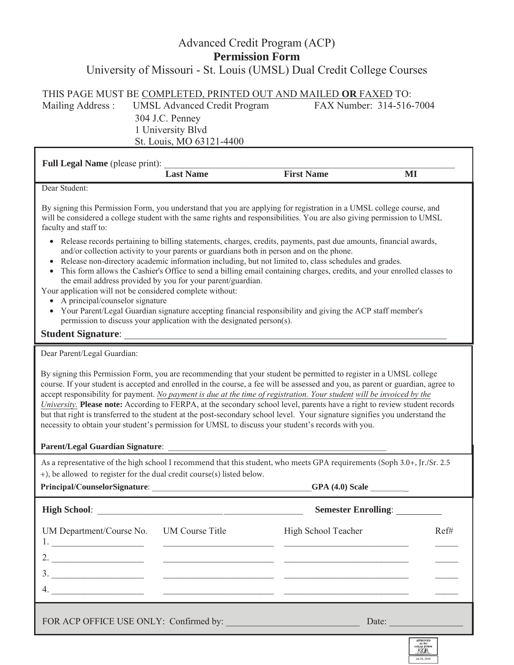## Advanced Credit Program (ACP) **Permission Form**  University of Missouri - St. Louis (UMSL) Dual Credit College Courses

| THIS PAGE MUST BE COMPLETED, PRINTED OUT AND MAILED OR FAXED TO: |                                     |                          |  |  |  |
|------------------------------------------------------------------|-------------------------------------|--------------------------|--|--|--|
| Mailing Address :                                                | <b>UMSL Advanced Credit Program</b> | FAX Number: 314-516-7004 |  |  |  |
|                                                                  | 304 J.C. Penney                     |                          |  |  |  |
|                                                                  | 1 University Blvd                   |                          |  |  |  |
|                                                                  | St. Louis, MO 63121-4400            |                          |  |  |  |

| <b>Full Legal Name</b> (please print): |                  |                   |    |  |
|----------------------------------------|------------------|-------------------|----|--|
|                                        | <b>Last Name</b> | <b>First Name</b> | Ml |  |
| Dear Student:                          |                  |                   |    |  |

By signing this Permission Form, you understand that you are applying for registration in a UMSL college course, and will be considered a college student with the same rights and responsibilities. You are also giving permission to UMSL faculty and staff to:

- Release records pertaining to billing statements, charges, credits, payments, past due amounts, financial awards, and/or collection activity to your parents or guardians both in person and on the phone.
- Release non-directory academic information including, but not limited to, class schedules and grades.
- This form allows the Cashier's Office to send a billing email containing charges, credits, and your enrolled classes to the email address provided by you for your parent/guardian.
- Your application will not be considered complete without:
	- A principal/counselor signature
	- Your Parent/Legal Guardian signature accepting financial responsibility and giving the ACP staff member's permission to discuss your application with the designated person(s).

## **Student Signature:**

Dear Parent/Legal Guardian:

By signing this Permission Form, you are recommending that your student be permitted to register in a UMSL college course. If your student is accepted and enrolled in the course, a fee will be assessed and you, as parent or guardian, agree to accept responsibility for payment. *No payment is due at the time of registration. Your student will be invoiced by the University.* **Please note:** According to FERPA, at the secondary school level, parents have a right to review student records but that right is transferred to the student at the post-secondary school level. Your signature signifies you understand the necessity to obtain your student's permission for UMSL to discuss your student's records with you.

## Parent/Legal Guardian Signature:

As a representative of the high school I recommend that this student, who meets GPA requirements (Soph 3.0+, Jr./Sr. 2.5 +), be allowed to register for the dual credit course(s) listed below.

| Principal/CounselorSignature: | GPA(4.0) Scale |  |
|-------------------------------|----------------|--|
|                               |                |  |

| $GPA(4.0)$ Scale |  |
|------------------|--|
|------------------|--|

|                                          | Semester Enrolling: |      |  |
|------------------------------------------|---------------------|------|--|
| UM Department/Course No. UM Course Title | High School Teacher | Ref# |  |
|                                          |                     |      |  |
| 3.                                       |                     |      |  |
| 4.                                       |                     |      |  |
| FOR ACP OFFICE USE ONLY: Confirmed by:   | Date:               |      |  |